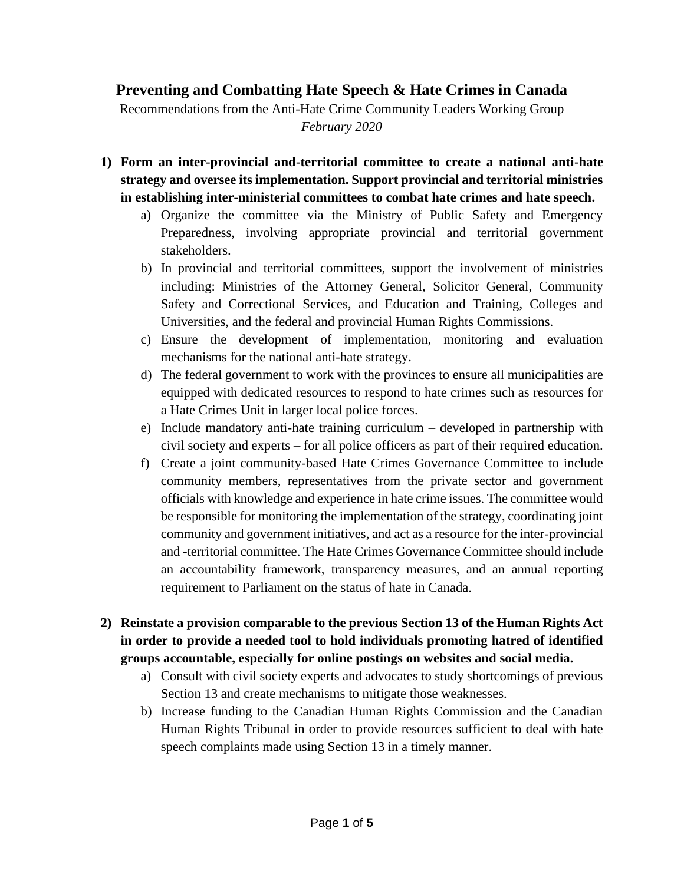# **Preventing and Combatting Hate Speech & Hate Crimes in Canada**

Recommendations from the Anti-Hate Crime Community Leaders Working Group *February 2020*

- **1) Form an inter-provincial and-territorial committee to create a national anti-hate strategy and oversee its implementation. Support provincial and territorial ministries in establishing inter-ministerial committees to combat hate crimes and hate speech.** 
	- a) Organize the committee via the Ministry of Public Safety and Emergency Preparedness, involving appropriate provincial and territorial government stakeholders.
	- b) In provincial and territorial committees, support the involvement of ministries including: Ministries of the Attorney General, Solicitor General, Community Safety and Correctional Services, and Education and Training, Colleges and Universities, and the federal and provincial Human Rights Commissions.
	- c) Ensure the development of implementation, monitoring and evaluation mechanisms for the national anti-hate strategy.
	- d) The federal government to work with the provinces to ensure all municipalities are equipped with dedicated resources to respond to hate crimes such as resources for a Hate Crimes Unit in larger local police forces.
	- e) Include mandatory anti-hate training curriculum developed in partnership with civil society and experts – for all police officers as part of their required education.
	- f) Create a joint community-based Hate Crimes Governance Committee to include community members, representatives from the private sector and government officials with knowledge and experience in hate crime issues. The committee would be responsible for monitoring the implementation of the strategy, coordinating joint community and government initiatives, and act as a resource for the inter-provincial and -territorial committee. The Hate Crimes Governance Committee should include an accountability framework, transparency measures, and an annual reporting requirement to Parliament on the status of hate in Canada.
- **2) Reinstate a provision comparable to the previous Section 13 of the Human Rights Act in order to provide a needed tool to hold individuals promoting hatred of identified groups accountable, especially for online postings on websites and social media.**
	- a) Consult with civil society experts and advocates to study shortcomings of previous Section 13 and create mechanisms to mitigate those weaknesses.
	- b) Increase funding to the Canadian Human Rights Commission and the Canadian Human Rights Tribunal in order to provide resources sufficient to deal with hate speech complaints made using Section 13 in a timely manner.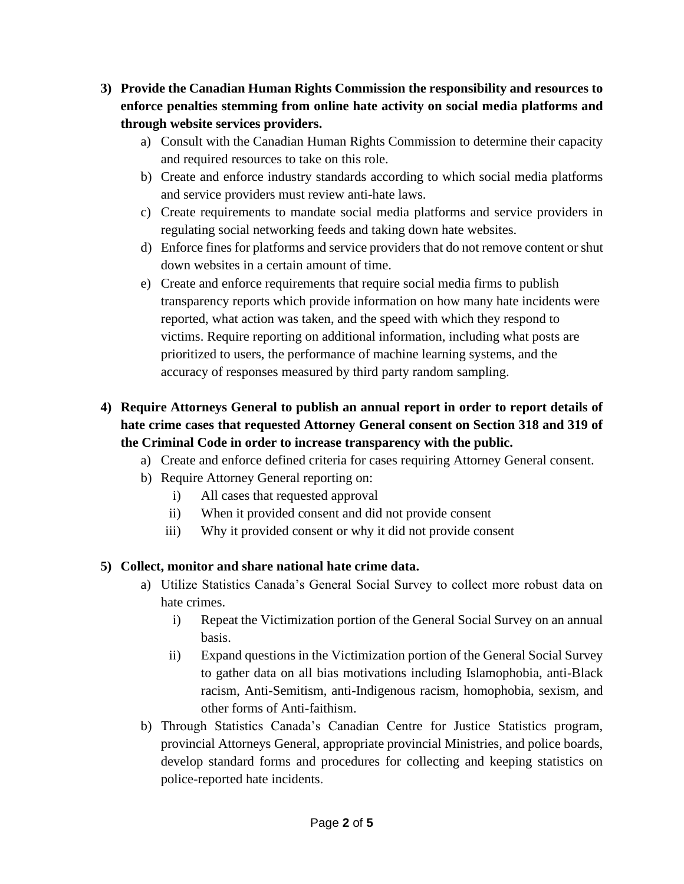- **3) Provide the Canadian Human Rights Commission the responsibility and resources to enforce penalties stemming from online hate activity on social media platforms and through website services providers.**
	- a) Consult with the Canadian Human Rights Commission to determine their capacity and required resources to take on this role.
	- b) Create and enforce industry standards according to which social media platforms and service providers must review anti-hate laws.
	- c) Create requirements to mandate social media platforms and service providers in regulating social networking feeds and taking down hate websites.
	- d) Enforce fines for platforms and service providers that do not remove content or shut down websites in a certain amount of time.
	- e) Create and enforce requirements that require social media firms to publish transparency reports which provide information on how many hate incidents were reported, what action was taken, and the speed with which they respond to victims. Require reporting on additional information, including what posts are prioritized to users, the performance of machine learning systems, and the accuracy of responses measured by third party random sampling.

# **4) Require Attorneys General to publish an annual report in order to report details of hate crime cases that requested Attorney General consent on Section 318 and 319 of the Criminal Code in order to increase transparency with the public.**

- a) Create and enforce defined criteria for cases requiring Attorney General consent.
- b) Require Attorney General reporting on:
	- i) All cases that requested approval
	- ii) When it provided consent and did not provide consent
	- iii) Why it provided consent or why it did not provide consent

## **5) Collect, monitor and share national hate crime data.**

- a) Utilize Statistics Canada's General Social Survey to collect more robust data on hate crimes.
	- i) Repeat the Victimization portion of the General Social Survey on an annual basis.
	- ii) Expand questions in the Victimization portion of the General Social Survey to gather data on all bias motivations including Islamophobia, anti-Black racism, Anti-Semitism, anti-Indigenous racism, homophobia, sexism, and other forms of Anti-faithism.
- b) Through Statistics Canada's Canadian Centre for Justice Statistics program, provincial Attorneys General, appropriate provincial Ministries, and police boards, develop standard forms and procedures for collecting and keeping statistics on police-reported hate incidents.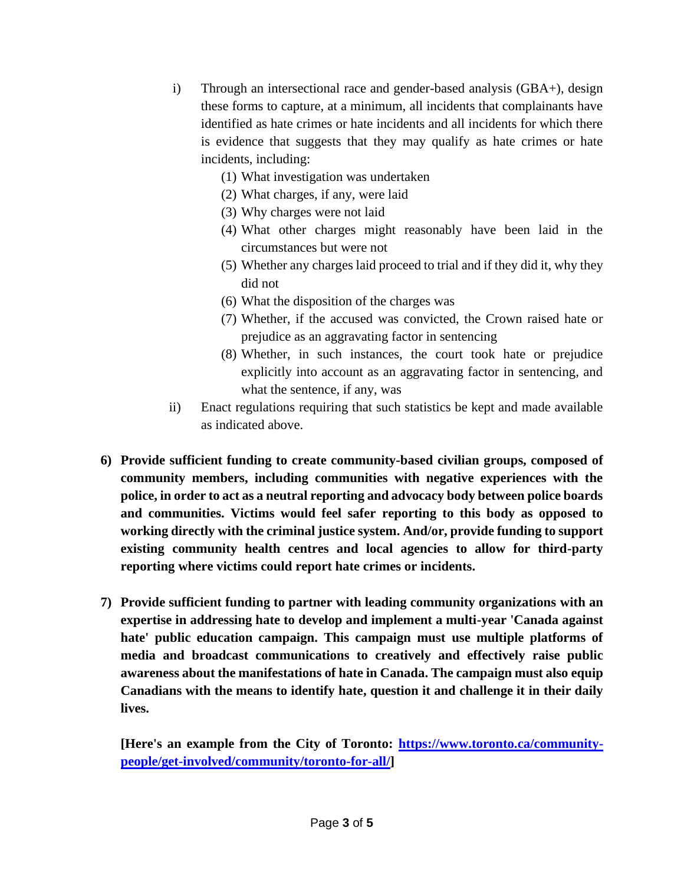- i) Through an intersectional race and gender-based analysis (GBA+), design these forms to capture, at a minimum, all incidents that complainants have identified as hate crimes or hate incidents and all incidents for which there is evidence that suggests that they may qualify as hate crimes or hate incidents, including:
	- (1) What investigation was undertaken
	- (2) What charges, if any, were laid
	- (3) Why charges were not laid
	- (4) What other charges might reasonably have been laid in the circumstances but were not
	- (5) Whether any charges laid proceed to trial and if they did it, why they did not
	- (6) What the disposition of the charges was
	- (7) Whether, if the accused was convicted, the Crown raised hate or prejudice as an aggravating factor in sentencing
	- (8) Whether, in such instances, the court took hate or prejudice explicitly into account as an aggravating factor in sentencing, and what the sentence, if any, was
- ii) Enact regulations requiring that such statistics be kept and made available as indicated above.
- **6) Provide sufficient funding to create community-based civilian groups, composed of community members, including communities with negative experiences with the police, in order to act as a neutral reporting and advocacy body between police boards and communities. Victims would feel safer reporting to this body as opposed to working directly with the criminal justice system. And/or, provide funding to support existing community health centres and local agencies to allow for third-party reporting where victims could report hate crimes or incidents.**
- **7) Provide sufficient funding to partner with leading community organizations with an expertise in addressing hate to develop and implement a multi-year 'Canada against hate' public education campaign. This campaign must use multiple platforms of media and broadcast communications to creatively and effectively raise public awareness about the manifestations of hate in Canada. The campaign must also equip Canadians with the means to identify hate, question it and challenge it in their daily lives.**

**[Here's an example from the City of Toronto: https://www.toronto.ca/communitypeople/get-involved/community/toronto-for-all/]**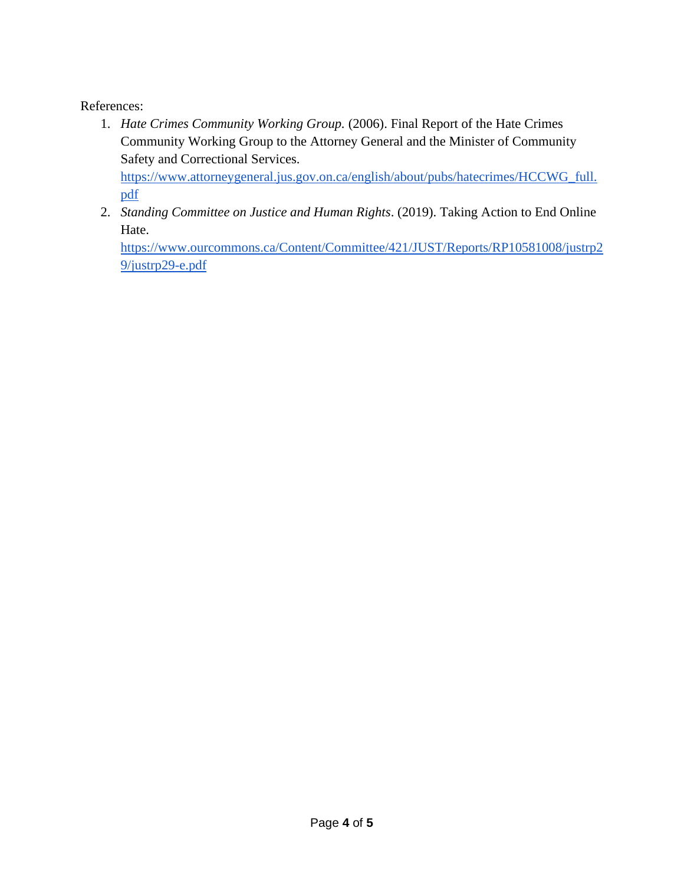### References:

- 1. *Hate Crimes Community Working Group.* (2006). Final Report of the Hate Crimes Community Working Group to the Attorney General and the Minister of Community Safety and Correctional Services. [https://www.attorneygeneral.jus.gov.on.ca/english/about/pubs/hatecrimes/HCCWG\\_full.](about:blank) [pdf](about:blank)
- 2. *Standing Committee on Justice and Human Rights*. (2019). Taking Action to End Online Hate.

[https://www.ourcommons.ca/Content/Committee/421/JUST/Reports/RP10581008/justrp2](about:blank) [9/justrp29-e.pdf](about:blank)